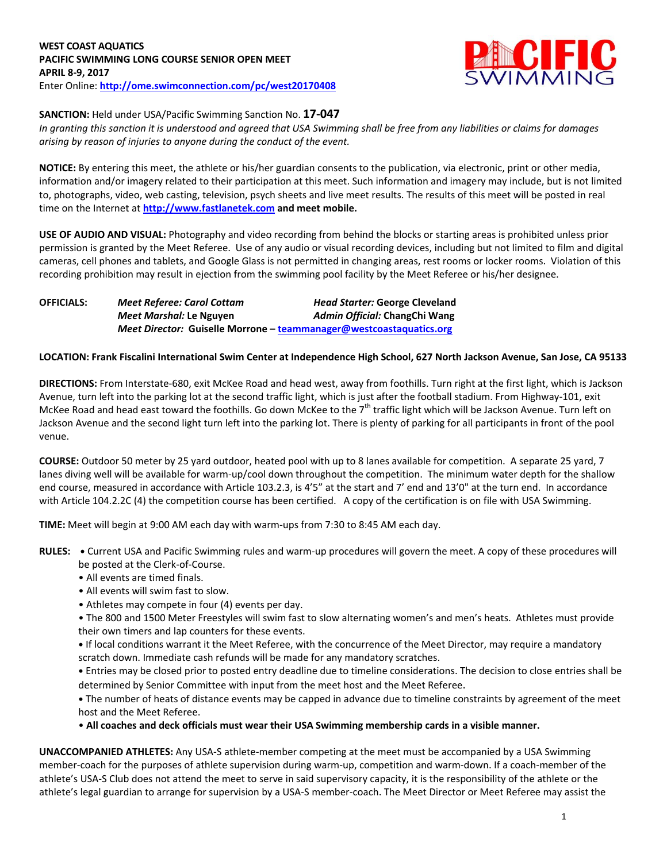

# **SANCTION:** Held under USA/Pacific Swimming Sanction No. **17-047**

*In granting this sanction it is understood and agreed that USA Swimming shall be free from any liabilities or claims for damages arising by reason of injuries to anyone during the conduct of the event.*

**NOTICE:** By entering this meet, the athlete or his/her guardian consents to the publication, via electronic, print or other media, information and/or imagery related to their participation at this meet. Such information and imagery may include, but is not limited to, photographs, video, web casting, television, psych sheets and live meet results. The results of this meet will be posted in real time on the Internet at **[http://www.fastlanetek.com](http://www.fastlanetek.com/) and meet mobile.**

**USE OF AUDIO AND VISUAL:** Photography and video recording from behind the blocks or starting areas is prohibited unless prior permission is granted by the Meet Referee. Use of any audio or visual recording devices, including but not limited to film and digital cameras, cell phones and tablets, and Google Glass is not permitted in changing areas, rest rooms or locker rooms. Violation of this recording prohibition may result in ejection from the swimming pool facility by the Meet Referee or his/her designee.

| <b>OFFICIALS:</b> | <b>Meet Referee: Carol Cottam</b> | <b>Head Starter: George Cleveland</b>                               |  |  |  |  |  |
|-------------------|-----------------------------------|---------------------------------------------------------------------|--|--|--|--|--|
|                   | Meet Marshal: Le Nguyen           | Admin Official: ChangChi Wang                                       |  |  |  |  |  |
|                   |                                   | Meet Director: Guiselle Morrone - teammanager@westcoastaquatics.org |  |  |  |  |  |

## **LOCATION: Frank Fiscalini International Swim Center at Independence High School, 627 North Jackson Avenue, San Jose, CA 95133**

**DIRECTIONS:** From Interstate-680, exit McKee Road and head west, away from foothills. Turn right at the first light, which is Jackson Avenue, turn left into the parking lot at the second traffic light, which is just after the football stadium. From Highway-101, exit McKee Road and head east toward the foothills. Go down McKee to the 7<sup>th</sup> traffic light which will be Jackson Avenue. Turn left on Jackson Avenue and the second light turn left into the parking lot. There is plenty of parking for all participants in front of the pool venue.

**COURSE:** Outdoor 50 meter by 25 yard outdoor, heated pool with up to 8 lanes available for competition.A separate 25 yard, 7 lanes diving well will be available for warm-up/cool down throughout the competition. The minimum water depth for the shallow end course, measured in accordance with Article 103.2.3, is 4'5" at the start and 7' end and 13'0" at the turn end. In accordance with Article 104.2.2C (4) the competition course has been certified. A copy of the certification is on file with USA Swimming.

**TIME:** Meet will begin at 9:00 AM each day with warm-ups from 7:30 to 8:45 AM each day.

- **RULES: •** Current USA and Pacific Swimming rules and warm-up procedures will govern the meet. A copy of these procedures will be posted at the Clerk-of-Course.
	- All events are timed finals.
	- All events will swim fast to slow.
	- Athletes may compete in four (4) events per day.
	- The 800 and 1500 Meter Freestyles will swim fast to slow alternating women's and men's heats. Athletes must provide their own timers and lap counters for these events.

**•** If local conditions warrant it the Meet Referee, with the concurrence of the Meet Director, may require a mandatory scratch down. Immediate cash refunds will be made for any mandatory scratches.

**•** Entries may be closed prior to posted entry deadline due to timeline considerations. The decision to close entries shall be determined by Senior Committee with input from the meet host and the Meet Referee.

**•** The number of heats of distance events may be capped in advance due to timeline constraints by agreement of the meet host and the Meet Referee.

• **All coaches and deck officials must wear their USA Swimming membership cards in a visible manner.** 

**UNACCOMPANIED ATHLETES:** Any USA-S athlete-member competing at the meet must be accompanied by a USA Swimming member-coach for the purposes of athlete supervision during warm-up, competition and warm-down. If a coach-member of the athlete's USA-S Club does not attend the meet to serve in said supervisory capacity, it is the responsibility of the athlete or the athlete's legal guardian to arrange for supervision by a USA-S member-coach. The Meet Director or Meet Referee may assist the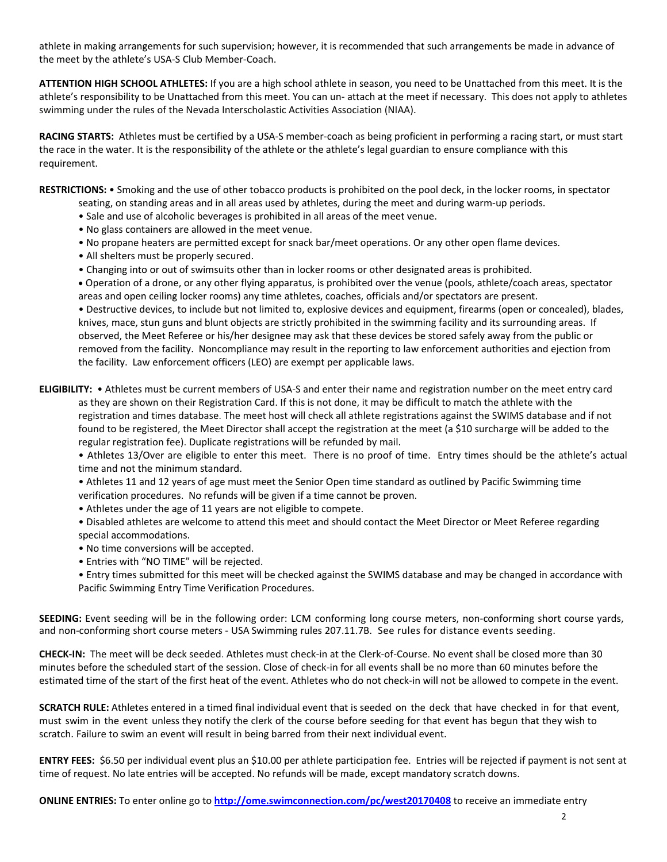athlete in making arrangements for such supervision; however, it is recommended that such arrangements be made in advance of the meet by the athlete's USA-S Club Member-Coach.

**ATTENTION HIGH SCHOOL ATHLETES:** If you are a high school athlete in season, you need to be Unattached from this meet. It is the athlete's responsibility to be Unattached from this meet. You can un- attach at the meet if necessary. This does not apply to athletes swimming under the rules of the Nevada Interscholastic Activities Association (NIAA).

**RACING STARTS:** Athletes must be certified by a USA-S member-coach as being proficient in performing a racing start, or must start the race in the water. It is the responsibility of the athlete or the athlete's legal guardian to ensure compliance with this requirement.

**RESTRICTIONS:** • Smoking and the use of other tobacco products is prohibited on the pool deck, in the locker rooms, in spectator seating, on standing areas and in all areas used by athletes, during the meet and during warm-up periods.

- Sale and use of alcoholic beverages is prohibited in all areas of the meet venue.
- No glass containers are allowed in the meet venue.
- No propane heaters are permitted except for snack bar/meet operations. Or any other open flame devices.
- All shelters must be properly secured.
- Changing into or out of swimsuits other than in locker rooms or other designated areas is prohibited.

 Operation of a drone, or any other flying apparatus, is prohibited over the venue (pools, athlete/coach areas, spectator areas and open ceiling locker rooms) any time athletes, coaches, officials and/or spectators are present.

• Destructive devices, to include but not limited to, explosive devices and equipment, firearms (open or concealed), blades, knives, mace, stun guns and blunt objects are strictly prohibited in the swimming facility and its surrounding areas. If observed, the Meet Referee or his/her designee may ask that these devices be stored safely away from the public or removed from the facility. Noncompliance may result in the reporting to law enforcement authorities and ejection from the facility. Law enforcement officers (LEO) are exempt per applicable laws.

**ELIGIBILITY:** • Athletes must be current members of USA-S and enter their name and registration number on the meet entry card as they are shown on their Registration Card. If this is not done, it may be difficult to match the athlete with the registration and times database. The meet host will check all athlete registrations against the SWIMS database and if not found to be registered, the Meet Director shall accept the registration at the meet (a \$10 surcharge will be added to the regular registration fee). Duplicate registrations will be refunded by mail.

• Athletes 13/Over are eligible to enter this meet. There is no proof of time. Entry times should be the athlete's actual time and not the minimum standard.

• Athletes 11 and 12 years of age must meet the Senior Open time standard as outlined by Pacific Swimming time verification procedures. No refunds will be given if a time cannot be proven.

• Athletes under the age of 11 years are not eligible to compete.

• Disabled athletes are welcome to attend this meet and should contact the Meet Director or Meet Referee regarding special accommodations.

- No time conversions will be accepted.
- Entries with "NO TIME" will be rejected.
- Entry times submitted for this meet will be checked against the SWIMS database and may be changed in accordance with Pacific Swimming Entry Time Verification Procedures.

**SEEDING:** Event seeding will be in the following order: LCM conforming long course meters, non-conforming short course yards, and non-conforming short course meters - USA Swimming rules 207.11.7B. See rules for distance events seeding.

**CHECK-IN:** The meet will be deck seeded. Athletes must check-in at the Clerk-of-Course. No event shall be closed more than 30 minutes before the scheduled start of the session. Close of check‐in for all events shall be no more than 60 minutes before the estimated time of the start of the first heat of the event. Athletes who do not check-in will not be allowed to compete in the event.

**SCRATCH RULE:** Athletes entered in a timed final individual event that is seeded on the deck that have checked in for that event, must swim in the event unless they notify the clerk of the course before seeding for that event has begun that they wish to scratch. Failure to swim an event will result in being barred from their next individual event.

**ENTRY FEES:** \$6.50 per individual event plus an \$10.00 per athlete participation fee. Entries will be rejected if payment is not sent at time of request. No late entries will be accepted. No refunds will be made, except mandatory scratch downs.

**ONLINE ENTRIES:** To enter online go to **<http://ome.swimconnection.com/pc/west20170408>** to receive an immediate entry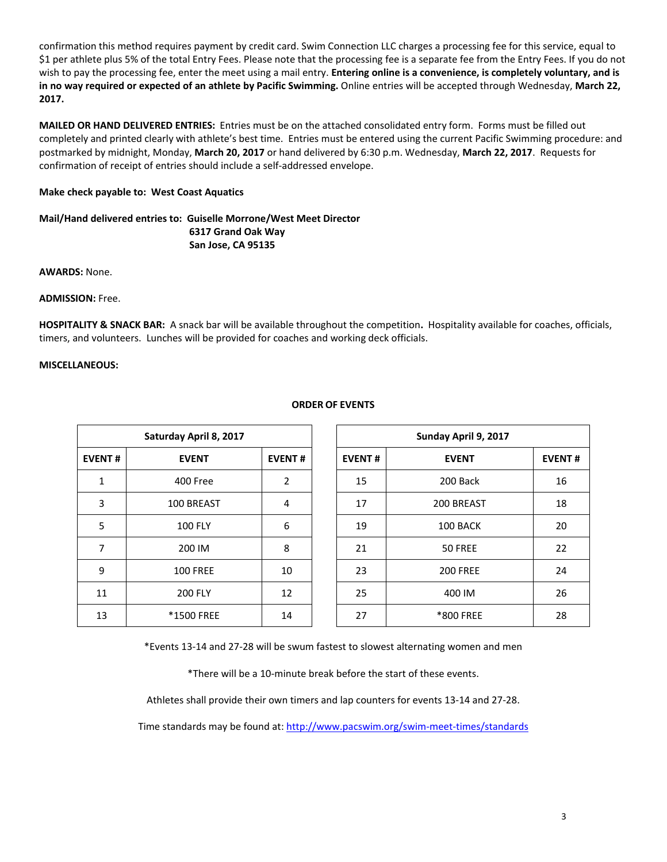confirmation this method requires payment by credit card. Swim Connection LLC charges a processing fee for this service, equal to \$1 per athlete plus 5% of the total Entry Fees. Please note that the processing fee is a separate fee from the Entry Fees. If you do not wish to pay the processing fee, enter the meet using a mail entry. **Entering online is a convenience, is completely voluntary, and is in no way required or expected of an athlete by Pacific Swimming.** Online entries will be accepted through Wednesday, **March 22, 2017.**

**MAILED OR HAND DELIVERED ENTRIES:** Entries must be on the attached consolidated entry form. Forms must be filled out completely and printed clearly with athlete's best time. Entries must be entered using the current Pacific Swimming procedure: and postmarked by midnight, Monday, **March 20, 2017** or hand delivered by 6:30 p.m. Wednesday, **March 22, 2017**. Requests for confirmation of receipt of entries should include a self-addressed envelope.

### **Make check payable to: West Coast Aquatics**

## **Mail/Hand delivered entries to: Guiselle Morrone/West Meet Director 6317 Grand Oak Way San Jose, CA 95135**

**AWARDS:** None.

### **ADMISSION:** Free.

**HOSPITALITY & SNACK BAR:** A snack bar will be available throughout the competition**.** Hospitality available for coaches, officials, timers, and volunteers. Lunches will be provided for coaches and working deck officials.

### **MISCELLANEOUS:**

|               | Saturday April 8, 2017 |               |  |               | Sunday April 9, 2017 |               |  |  |  |
|---------------|------------------------|---------------|--|---------------|----------------------|---------------|--|--|--|
| <b>EVENT#</b> | <b>EVENT</b>           | <b>EVENT#</b> |  | <b>EVENT#</b> | <b>EVENT</b>         | <b>EVENT#</b> |  |  |  |
| 1             | 400 Free               | 2             |  | 15            | 200 Back             | 16            |  |  |  |
| 3             | 100 BREAST             | 4             |  | 17            | 200 BREAST           | 18            |  |  |  |
| 5             | <b>100 FLY</b>         | 6             |  | 19            | 100 BACK             | 20            |  |  |  |
| 7             | 200 IM                 | 8             |  | 21            | 50 FREE              | 22            |  |  |  |
| 9             | <b>100 FREE</b>        | 10            |  | 23            | <b>200 FREE</b>      | 24            |  |  |  |
| 11            | <b>200 FLY</b>         | 12            |  | 25            | 400 IM               | 26            |  |  |  |
| 13            | <b>*1500 FREE</b>      | 14            |  | 27            | *800 FREE            | 28            |  |  |  |

### **ORDER OF EVENTS**

\*Events 13-14 and 27-28 will be swum fastest to slowest alternating women and men

\*There will be a 10-minute break before the start of these events.

Athletes shall provide their own timers and lap counters for events 13-14 and 27-28.

Time standards may be found at:<http://www.pacswim.org/swim-meet-times/standards>